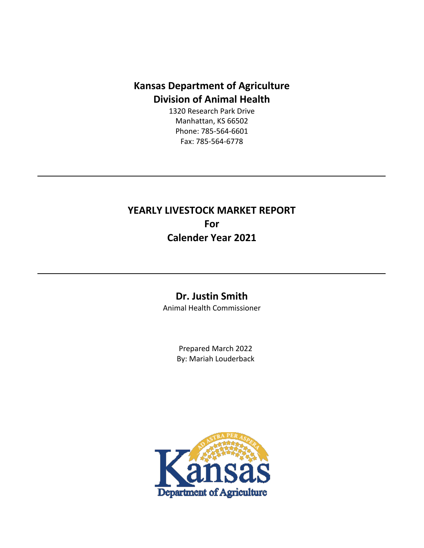## **Kansas Department of Agriculture Division of Animal Health**

1320 Research Park Drive Manhattan, KS 66502 Phone: 785-564-6601 Fax: 785-564-6778

**YEARLY LIVESTOCK MARKET REPORT For Calender Year 2021**

## **Dr. Justin Smith**

Animal Health Commissioner

Prepared March 2022 By: Mariah Louderback

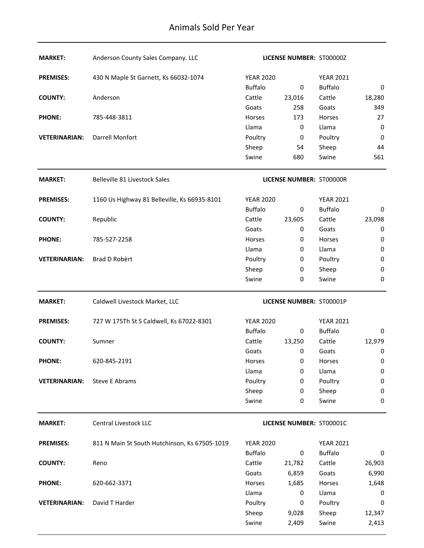| <b>MARKET:</b>       | Anderson County Sales Company. LLC            |                  | LICENSE NUMBER: ST00000Z        |                  |                 |
|----------------------|-----------------------------------------------|------------------|---------------------------------|------------------|-----------------|
| <b>PREMISES:</b>     | 430 N Maple St Garnett, Ks 66032-1074         | <b>YEAR 2020</b> |                                 | <b>YEAR 2021</b> |                 |
|                      |                                               | <b>Buffalo</b>   | 0                               | <b>Buffalo</b>   | 0               |
| <b>COUNTY:</b>       | Anderson                                      | Cattle           | 23,016                          | Cattle           | 18,280          |
|                      |                                               | Goats            | 258                             | Goats            | 349             |
| <b>PHONE:</b>        | 785-448-3811                                  | Horses           | 173                             | Horses           | 27              |
|                      |                                               | Llama            | $\pmb{0}$                       | Llama            | 0               |
| <b>VETERINARIAN:</b> | Darrell Monfort                               | Poultry          | $\pmb{0}$                       | Poultry          | 0               |
|                      |                                               | Sheep            | 54                              | Sheep            | 44              |
|                      |                                               | Swine            | 680                             | Swine            | 561             |
| <b>MARKET:</b>       | Belleville 81 Livestock Sales                 |                  | <b>LICENSE NUMBER: ST00000R</b> |                  |                 |
| <b>PREMISES:</b>     | 1160 Us Highway 81 Belleville, Ks 66935-8101  | <b>YEAR 2020</b> |                                 | <b>YEAR 2021</b> |                 |
|                      |                                               | <b>Buffalo</b>   | 0                               | <b>Buffalo</b>   | 0               |
| <b>COUNTY:</b>       | Republic                                      | Cattle           | 23,605                          | Cattle           | 23,098          |
|                      |                                               | Goats            | 0                               | Goats            | 0               |
| <b>PHONE:</b>        | 785-527-2258                                  | Horses           | 0                               | Horses           | 0               |
|                      |                                               | Llama            | 0                               | Llama            | 0               |
| <b>VETERINARIAN:</b> | Brad D Robèrt                                 | Poultry          | 0                               | Poultry          | $\pmb{0}$       |
|                      |                                               | Sheep            | 0                               | Sheep            | 0               |
|                      |                                               | Swine            | 0                               | Swine            | $\mathbf 0$     |
|                      |                                               |                  |                                 |                  |                 |
| <b>MARKET:</b>       | Caldwell Livestock Market, LLC                |                  | LICENSE NUMBER: ST00001P        |                  |                 |
| <b>PREMISES:</b>     | 727 W 175Th St S Caldwell, Ks 67022-8301      | <b>YEAR 2020</b> |                                 | <b>YEAR 2021</b> |                 |
|                      |                                               | <b>Buffalo</b>   | 0                               | <b>Buffalo</b>   | 0               |
| <b>COUNTY:</b>       | Sumner                                        | Cattle           | 13,250                          | Cattle           | 12,979          |
|                      |                                               | Goats            | $\pmb{0}$                       | Goats            | 0               |
| <b>PHONE:</b>        | 620-845-2191                                  | Horses           | 0                               | Horses           | 0               |
|                      |                                               | Llama            | 0                               | Llama            | 0               |
| <b>VETERINARIAN:</b> | Steve E Abrams                                | Poultry          | 0                               | Poultry          | $\pmb{0}$       |
|                      |                                               | Sheep            | 0                               | Sheep            | 0               |
|                      |                                               | Swine            | 0                               | Swine            | 0               |
| <b>MARKET:</b>       | <b>Central Livestock LLC</b>                  |                  | LICENSE NUMBER: ST00001C        |                  |                 |
| <b>PREMISES:</b>     | 811 N Main St South Hutchinson, Ks 67505-1019 | <b>YEAR 2020</b> |                                 | <b>YEAR 2021</b> |                 |
|                      |                                               | <b>Buffalo</b>   | 0                               | <b>Buffalo</b>   | 0               |
| <b>COUNTY:</b>       | Reno                                          | Cattle           | 21,782                          | Cattle           | 26,903          |
|                      |                                               | Goats            | 6,859                           | Goats            | 6,990           |
| <b>PHONE:</b>        | 620-662-3371                                  | Horses           | 1,685                           | Horses           | 1,648           |
|                      |                                               | Llama            | 0                               | Llama            | 0               |
| <b>VETERINARIAN:</b> | David T Harder                                | Poultry          | 0                               | Poultry          | 0               |
|                      |                                               | Sheep<br>Swine   | 9,028<br>2,409                  | Sheep<br>Swine   | 12,347<br>2,413 |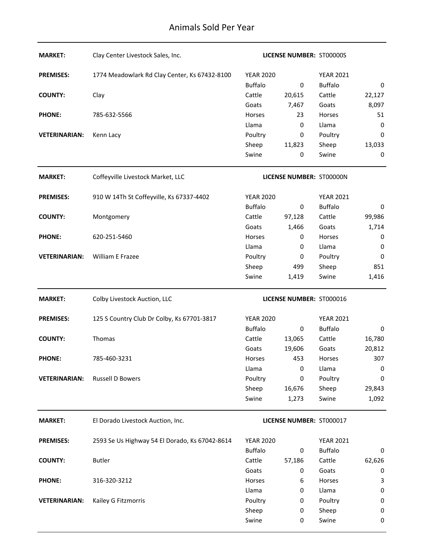| <b>MARKET:</b>       | Clay Center Livestock Sales, Inc.              |                  | <b>LICENSE NUMBER: ST00000S</b> |                  |          |
|----------------------|------------------------------------------------|------------------|---------------------------------|------------------|----------|
| <b>PREMISES:</b>     | 1774 Meadowlark Rd Clay Center, Ks 67432-8100  | <b>YEAR 2020</b> |                                 | <b>YEAR 2021</b> |          |
|                      |                                                | <b>Buffalo</b>   | $\mathbf 0$                     | <b>Buffalo</b>   | 0        |
| <b>COUNTY:</b>       | Clay                                           | Cattle           | 20,615                          | Cattle           | 22,127   |
|                      |                                                | Goats            | 7,467                           | Goats            | 8,097    |
| <b>PHONE:</b>        | 785-632-5566                                   | Horses           | 23                              | Horses           | 51       |
|                      |                                                | Llama            | 0                               | Llama            | 0        |
| <b>VETERINARIAN:</b> | Kenn Lacy                                      | Poultry          | 0                               | Poultry          | 0        |
|                      |                                                | Sheep            | 11,823                          | Sheep            | 13,033   |
|                      |                                                | Swine            | 0                               | Swine            | 0        |
| <b>MARKET:</b>       | Coffeyville Livestock Market, LLC              |                  | LICENSE NUMBER: ST00000N        |                  |          |
| <b>PREMISES:</b>     | 910 W 14Th St Coffeyville, Ks 67337-4402       | <b>YEAR 2020</b> |                                 | <b>YEAR 2021</b> |          |
|                      |                                                | <b>Buffalo</b>   | 0                               | <b>Buffalo</b>   | $\bf{0}$ |
| <b>COUNTY:</b>       | Montgomery                                     | Cattle           | 97,128                          | Cattle           | 99,986   |
|                      |                                                | Goats            | 1,466                           | Goats            | 1,714    |
| <b>PHONE:</b>        | 620-251-5460                                   | <b>Horses</b>    | 0                               | Horses           | 0        |
|                      |                                                | Llama            | 0                               | Llama            | 0        |
| <b>VETERINARIAN:</b> | William E Frazee                               | Poultry          | 0                               | Poultry          | 0        |
|                      |                                                | Sheep            | 499                             | Sheep            | 851      |
|                      |                                                | Swine            | 1,419                           | Swine            | 1,416    |
|                      |                                                |                  |                                 |                  |          |
| <b>MARKET:</b>       | Colby Livestock Auction, LLC                   |                  | LICENSE NUMBER: ST000016        |                  |          |
| <b>PREMISES:</b>     | 125 S Country Club Dr Colby, Ks 67701-3817     | <b>YEAR 2020</b> |                                 | <b>YEAR 2021</b> |          |
|                      |                                                | <b>Buffalo</b>   | 0                               | <b>Buffalo</b>   | 0        |
| <b>COUNTY:</b>       | Thomas                                         | Cattle           | 13,065                          | Cattle           | 16,780   |
|                      |                                                | Goats            | 19,606                          | Goats            | 20,812   |
| <b>PHONE:</b>        | 785-460-3231                                   | Horses           | 453                             | Horses           | 307      |
|                      |                                                | Llama            | 0                               | Llama            | 0        |
| <b>VETERINARIAN:</b> | <b>Russell D Bowers</b>                        | Poultry          | 0                               | Poultry          | 0        |
|                      |                                                | Sheep            | 16,676                          | Sheep            | 29,843   |
|                      |                                                | Swine            | 1,273                           | Swine            | 1,092    |
| <b>MARKET:</b>       | El Dorado Livestock Auction, Inc.              |                  | LICENSE NUMBER: ST000017        |                  |          |
| <b>PREMISES:</b>     | 2593 Se Us Highway 54 El Dorado, Ks 67042-8614 | <b>YEAR 2020</b> |                                 | <b>YEAR 2021</b> |          |
|                      |                                                | <b>Buffalo</b>   | 0                               | <b>Buffalo</b>   | 0        |
| <b>COUNTY:</b>       | <b>Butler</b>                                  | Cattle           | 57,186                          | Cattle           | 62,626   |
|                      |                                                | Goats            | 0                               | Goats            | 0        |
| <b>PHONE:</b>        | 316-320-3212                                   | <b>Horses</b>    | 6                               | Horses           | 3        |
|                      |                                                | Llama            | 0                               | Llama            | 0        |
| <b>VETERINARIAN:</b> | Kailey G Fitzmorris                            | Poultry          | 0                               | Poultry          | 0        |
|                      |                                                | Sheep            | 0                               | Sheep            | 0        |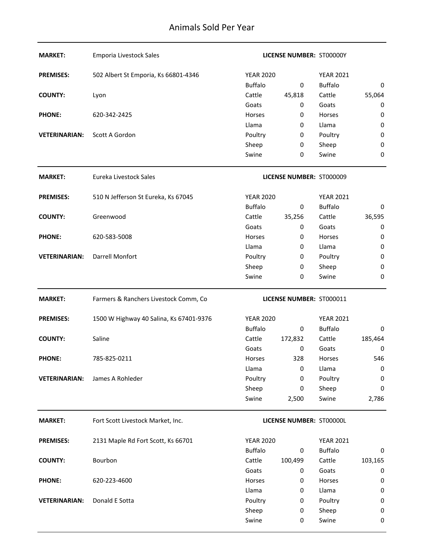| <b>MARKET:</b>       | <b>Emporia Livestock Sales</b>          |                  | LICENSE NUMBER: ST00000Y |                  |             |
|----------------------|-----------------------------------------|------------------|--------------------------|------------------|-------------|
| <b>PREMISES:</b>     | 502 Albert St Emporia, Ks 66801-4346    | <b>YEAR 2020</b> |                          | <b>YEAR 2021</b> |             |
|                      |                                         | <b>Buffalo</b>   | 0                        | <b>Buffalo</b>   | 0           |
| <b>COUNTY:</b>       | Lyon                                    | Cattle           | 45,818                   | Cattle           | 55,064      |
|                      |                                         | Goats            | 0                        | Goats            | 0           |
| <b>PHONE:</b>        | 620-342-2425                            | Horses           | 0                        | Horses           | 0           |
|                      |                                         | Llama            | 0                        | Llama            | $\pmb{0}$   |
| <b>VETERINARIAN:</b> | Scott A Gordon                          | Poultry          | 0                        | Poultry          | 0           |
|                      |                                         | Sheep            | 0                        | Sheep            | $\mathbf 0$ |
|                      |                                         | Swine            | 0                        | Swine            | 0           |
| <b>MARKET:</b>       | Eureka Livestock Sales                  |                  | LICENSE NUMBER: ST000009 |                  |             |
| <b>PREMISES:</b>     | 510 N Jefferson St Eureka, Ks 67045     | <b>YEAR 2020</b> |                          | <b>YEAR 2021</b> |             |
|                      |                                         | <b>Buffalo</b>   | $\mathbf 0$              | <b>Buffalo</b>   | 0           |
| <b>COUNTY:</b>       | Greenwood                               | Cattle           | 35,256                   | Cattle           | 36,595      |
|                      |                                         | Goats            | 0                        | Goats            | 0           |
| <b>PHONE:</b>        | 620-583-5008                            | <b>Horses</b>    | 0                        | Horses           | 0           |
|                      |                                         | Llama            | 0                        | Llama            | 0           |
| <b>VETERINARIAN:</b> | Darrell Monfort                         | Poultry          | 0                        | Poultry          | $\bf{0}$    |
|                      |                                         | Sheep            | 0                        | Sheep            | 0           |
|                      |                                         | Swine            | 0                        | Swine            | $\mathbf 0$ |
| <b>MARKET:</b>       | Farmers & Ranchers Livestock Comm, Co   |                  | LICENSE NUMBER: ST000011 |                  |             |
| <b>PREMISES:</b>     | 1500 W Highway 40 Salina, Ks 67401-9376 | <b>YEAR 2020</b> |                          | <b>YEAR 2021</b> |             |
|                      |                                         | <b>Buffalo</b>   | 0                        | <b>Buffalo</b>   | 0           |
| <b>COUNTY:</b>       | Saline                                  | Cattle           | 172,832                  | Cattle           | 185,464     |
|                      |                                         | Goats            | 0                        | Goats            | 0           |
| <b>PHONE:</b>        | 785-825-0211                            | Horses           | 328                      | Horses           | 546         |
|                      |                                         | Llama            | 0                        | Llama            | 0           |
| <b>VETERINARIAN:</b> | James A Rohleder                        | Poultry          | 0                        | Poultry          | 0           |
|                      |                                         | Sheep            | 0                        | Sheep            | 0           |
|                      |                                         | Swine            | 2,500                    | Swine            | 2,786       |
| <b>MARKET:</b>       | Fort Scott Livestock Market, Inc.       |                  | LICENSE NUMBER: ST00000L |                  |             |
| <b>PREMISES:</b>     | 2131 Maple Rd Fort Scott, Ks 66701      | <b>YEAR 2020</b> |                          | <b>YEAR 2021</b> |             |
|                      |                                         | <b>Buffalo</b>   | 0                        | <b>Buffalo</b>   | 0           |
| <b>COUNTY:</b>       | Bourbon                                 | Cattle           | 100,499                  | Cattle           | 103,165     |
|                      |                                         | Goats            | $\pmb{0}$                | Goats            | 0           |
| <b>PHONE:</b>        | 620-223-4600                            | Horses           | 0                        | Horses           | 0           |
|                      |                                         | Llama            | 0                        | Llama            | $\pmb{0}$   |
| <b>VETERINARIAN:</b> | Donald E Sotta                          | Poultry          | 0                        | Poultry          | 0           |
|                      |                                         | Sheep            | 0                        | Sheep            | 0           |
|                      |                                         | Swine            | 0                        | Swine            | $\pmb{0}$   |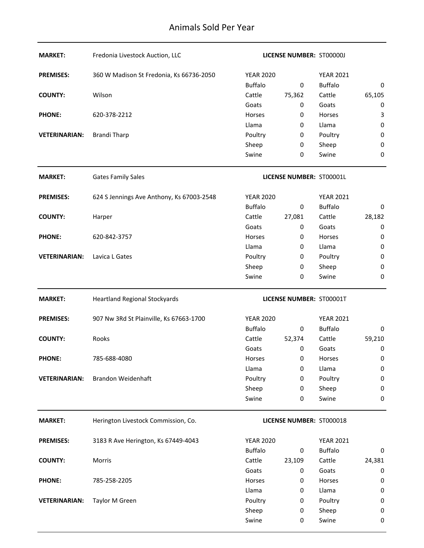| <b>MARKET:</b>       | Fredonia Livestock Auction, LLC           |                  | LICENSE NUMBER: ST00000J |                  |                  |
|----------------------|-------------------------------------------|------------------|--------------------------|------------------|------------------|
| <b>PREMISES:</b>     | 360 W Madison St Fredonia, Ks 66736-2050  | <b>YEAR 2020</b> |                          | <b>YEAR 2021</b> |                  |
|                      |                                           | <b>Buffalo</b>   | 0                        | <b>Buffalo</b>   | 0                |
| <b>COUNTY:</b>       | Wilson                                    | Cattle           | 75,362                   | Cattle           | 65,105           |
|                      |                                           | Goats            | 0                        | Goats            | 0                |
| <b>PHONE:</b>        | 620-378-2212                              | Horses           | 0                        | Horses           | 3                |
|                      |                                           | Llama            | 0                        | Llama            | $\pmb{0}$        |
| <b>VETERINARIAN:</b> | <b>Brandi Tharp</b>                       | Poultry          | 0                        | Poultry          | $\pmb{0}$        |
|                      |                                           | Sheep            | 0                        | Sheep            | $\pmb{0}$        |
|                      |                                           | Swine            | 0                        | Swine            | $\boldsymbol{0}$ |
| <b>MARKET:</b>       | <b>Gates Family Sales</b>                 |                  | LICENSE NUMBER: ST00001L |                  |                  |
| <b>PREMISES:</b>     | 624 S Jennings Ave Anthony, Ks 67003-2548 | <b>YEAR 2020</b> |                          | <b>YEAR 2021</b> |                  |
|                      |                                           | <b>Buffalo</b>   | 0                        | <b>Buffalo</b>   | 0                |
| <b>COUNTY:</b>       | Harper                                    | Cattle           | 27,081                   | Cattle           | 28,182           |
|                      |                                           | Goats            | 0                        | Goats            | 0                |
| <b>PHONE:</b>        | 620-842-3757                              | Horses           | 0                        | Horses           | 0                |
|                      |                                           | Llama            | 0                        | Llama            | 0                |
| <b>VETERINARIAN:</b> | Lavica L Gates                            | Poultry          | 0                        | Poultry          | $\pmb{0}$        |
|                      |                                           | Sheep            | 0                        | Sheep            | 0                |
|                      |                                           | Swine            | 0                        | Swine            | $\boldsymbol{0}$ |
| <b>MARKET:</b>       | <b>Heartland Regional Stockyards</b>      |                  | LICENSE NUMBER: ST00001T |                  |                  |
| <b>PREMISES:</b>     | 907 Nw 3Rd St Plainville, Ks 67663-1700   | <b>YEAR 2020</b> |                          | <b>YEAR 2021</b> |                  |
|                      |                                           | <b>Buffalo</b>   | 0                        | <b>Buffalo</b>   | 0                |
| <b>COUNTY:</b>       | Rooks                                     | Cattle           | 52,374                   | Cattle           | 59,210           |
|                      |                                           | Goats            | 0                        | Goats            | 0                |
| <b>PHONE:</b>        | 785-688-4080                              | Horses           | 0                        | Horses           | 0                |
|                      |                                           | Llama            | 0                        | Llama            | 0                |
| <b>VETERINARIAN:</b> | <b>Brandon Weidenhaft</b>                 | Poultry          | 0                        | Poultry          | $\pmb{0}$        |
|                      |                                           | Sheep            | 0                        | Sheep            | 0                |
|                      |                                           | Swine            | 0                        | Swine            | $\boldsymbol{0}$ |
| <b>MARKET:</b>       | Herington Livestock Commission, Co.       |                  | LICENSE NUMBER: ST000018 |                  |                  |
| <b>PREMISES:</b>     | 3183 R Ave Herington, Ks 67449-4043       | <b>YEAR 2020</b> |                          | <b>YEAR 2021</b> |                  |
|                      |                                           | <b>Buffalo</b>   | 0                        | <b>Buffalo</b>   | 0                |
| <b>COUNTY:</b>       | Morris                                    | Cattle           | 23,109                   | Cattle           | 24,381           |
|                      |                                           | Goats            | 0                        | Goats            | 0                |
| <b>PHONE:</b>        | 785-258-2205                              | Horses           | 0                        | Horses           | 0                |
|                      |                                           | Llama            | 0                        | Llama            | 0                |
| <b>VETERINARIAN:</b> | Taylor M Green                            | Poultry          | 0                        | Poultry          | 0                |
|                      |                                           | Sheep            | 0                        | Sheep            | 0                |
|                      |                                           | Swine            | 0                        | Swine            | 0                |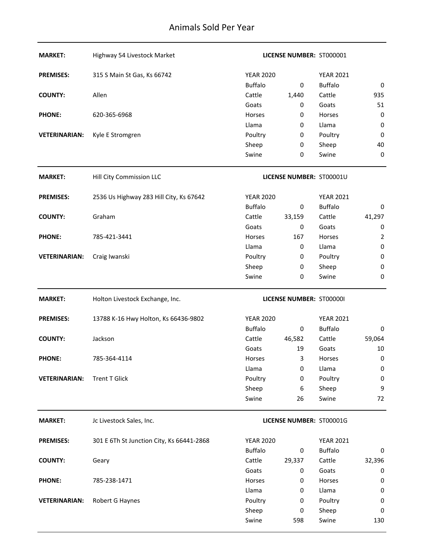| <b>MARKET:</b>       | Highway 54 Livestock Market               |                  | LICENSE NUMBER: ST000001 |                  |                 |
|----------------------|-------------------------------------------|------------------|--------------------------|------------------|-----------------|
| <b>PREMISES:</b>     | 315 S Main St Gas, Ks 66742               | <b>YEAR 2020</b> |                          | <b>YEAR 2021</b> |                 |
|                      |                                           | <b>Buffalo</b>   | 0                        | <b>Buffalo</b>   | 0               |
| <b>COUNTY:</b>       | Allen                                     | Cattle           | 1,440                    | Cattle           | 935             |
|                      |                                           | Goats            | 0                        | Goats            | 51              |
| <b>PHONE:</b>        | 620-365-6968                              | Horses           | 0                        | Horses           | $\pmb{0}$       |
|                      |                                           | Llama            | 0                        | Llama            | $\pmb{0}$       |
| <b>VETERINARIAN:</b> | Kyle E Stromgren                          | Poultry          | 0                        | Poultry          | $\mathbf 0$     |
|                      |                                           | Sheep            | $\pmb{0}$                | Sheep            | 40              |
|                      |                                           | Swine            | 0                        | Swine            | 0               |
| <b>MARKET:</b>       | Hill City Commission LLC                  |                  | LICENSE NUMBER: ST00001U |                  |                 |
| <b>PREMISES:</b>     | 2536 Us Highway 283 Hill City, Ks 67642   | <b>YEAR 2020</b> |                          | <b>YEAR 2021</b> |                 |
|                      |                                           | <b>Buffalo</b>   | $\boldsymbol{0}$         | <b>Buffalo</b>   | 0               |
| <b>COUNTY:</b>       | Graham                                    | Cattle           | 33,159                   | Cattle           | 41,297          |
|                      |                                           | Goats            | $\boldsymbol{0}$         | Goats            | 0               |
| <b>PHONE:</b>        | 785-421-3441                              | Horses           | 167                      | Horses           | $\overline{2}$  |
|                      |                                           | Llama            | 0                        | Llama            | $\pmb{0}$       |
| <b>VETERINARIAN:</b> | Craig Iwanski                             | Poultry          | 0                        | Poultry          | $\pmb{0}$       |
|                      |                                           | Sheep            | 0                        | Sheep            | $\pmb{0}$       |
|                      |                                           | Swine            | 0                        | Swine            | $\mathbf 0$     |
|                      |                                           |                  |                          |                  |                 |
| <b>MARKET:</b>       | Holton Livestock Exchange, Inc.           |                  | LICENSE NUMBER: ST000001 |                  |                 |
| <b>PREMISES:</b>     | 13788 K-16 Hwy Holton, Ks 66436-9802      | <b>YEAR 2020</b> |                          | <b>YEAR 2021</b> |                 |
|                      |                                           | <b>Buffalo</b>   | 0                        | <b>Buffalo</b>   | 0               |
| <b>COUNTY:</b>       | Jackson                                   | Cattle           | 46,582                   | Cattle           | 59,064          |
|                      |                                           | Goats            | 19                       | Goats            | 10              |
| <b>PHONE:</b>        | 785-364-4114                              | Horses           | 3                        | Horses           | 0               |
|                      |                                           | Llama            | 0                        | Llama            | $\pmb{0}$       |
| <b>VETERINARIAN:</b> | <b>Trent T Glick</b>                      | Poultry          | 0                        | Poultry          | $\pmb{0}$       |
|                      |                                           | Sheep            | 6                        | Sheep            | 9               |
|                      |                                           | Swine            | 26                       | Swine            | 72              |
| <b>MARKET:</b>       | Jc Livestock Sales, Inc.                  |                  | LICENSE NUMBER: ST00001G |                  |                 |
| <b>PREMISES:</b>     | 301 E 6Th St Junction City, Ks 66441-2868 | <b>YEAR 2020</b> |                          | <b>YEAR 2021</b> |                 |
|                      |                                           | <b>Buffalo</b>   | 0                        | <b>Buffalo</b>   | 0               |
| <b>COUNTY:</b>       | Geary                                     | Cattle           | 29,337                   | Cattle           | 32,396          |
|                      |                                           | Goats            | 0                        | Goats            | 0               |
| <b>PHONE:</b>        | 785-238-1471                              | Horses           | 0                        | Horses           | $\pmb{0}$       |
|                      |                                           | Llama            | 0                        | Llama            | 0               |
| <b>VETERINARIAN:</b> | Robert G Haynes                           | Poultry          | 0                        | Poultry          | $\pmb{0}$       |
|                      |                                           | Sheep<br>Swine   | $\pmb{0}$<br>598         | Sheep<br>Swine   | $\bf{0}$<br>130 |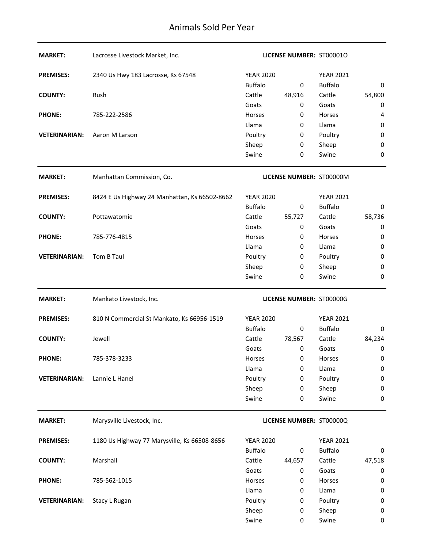| <b>MARKET:</b>       | Lacrosse Livestock Market, Inc.               |                  | <b>LICENSE NUMBER: ST000010</b> |                  |             |
|----------------------|-----------------------------------------------|------------------|---------------------------------|------------------|-------------|
| <b>PREMISES:</b>     | 2340 Us Hwy 183 Lacrosse, Ks 67548            | <b>YEAR 2020</b> |                                 | <b>YEAR 2021</b> |             |
|                      |                                               | <b>Buffalo</b>   | 0                               | <b>Buffalo</b>   | 0           |
| <b>COUNTY:</b>       | Rush                                          | Cattle           | 48,916                          | Cattle           | 54,800      |
|                      |                                               | Goats            | 0                               | Goats            | 0           |
| <b>PHONE:</b>        | 785-222-2586                                  | Horses           | 0                               | Horses           | 4           |
|                      |                                               | Llama            | 0                               | Llama            | 0           |
| <b>VETERINARIAN:</b> | Aaron M Larson                                | Poultry          | 0                               | Poultry          | 0           |
|                      |                                               | Sheep            | 0                               | Sheep            | 0           |
|                      |                                               | Swine            | 0                               | Swine            | 0           |
| <b>MARKET:</b>       | Manhattan Commission, Co.                     |                  | LICENSE NUMBER: ST00000M        |                  |             |
| <b>PREMISES:</b>     | 8424 E Us Highway 24 Manhattan, Ks 66502-8662 | <b>YEAR 2020</b> |                                 | <b>YEAR 2021</b> |             |
|                      |                                               | <b>Buffalo</b>   | 0                               | <b>Buffalo</b>   | 0           |
| <b>COUNTY:</b>       | Pottawatomie                                  | Cattle           | 55,727                          | Cattle           | 58,736      |
|                      |                                               | Goats            | 0                               | Goats            | 0           |
| <b>PHONE:</b>        | 785-776-4815                                  | <b>Horses</b>    | 0                               | Horses           | 0           |
|                      |                                               | Llama            | 0                               | Llama            | 0           |
| <b>VETERINARIAN:</b> | Tom B Taul                                    | Poultry          | 0                               | Poultry          | $\bf{0}$    |
|                      |                                               | Sheep            | 0                               | Sheep            | $\mathbf 0$ |
|                      |                                               | Swine            | 0                               | Swine            | $\mathbf 0$ |
|                      |                                               |                  |                                 |                  |             |
| <b>MARKET:</b>       | Mankato Livestock, Inc.                       |                  | LICENSE NUMBER: ST00000G        |                  |             |
| <b>PREMISES:</b>     | 810 N Commercial St Mankato, Ks 66956-1519    | <b>YEAR 2020</b> |                                 | <b>YEAR 2021</b> |             |
|                      |                                               | <b>Buffalo</b>   | 0                               | <b>Buffalo</b>   | 0           |
| <b>COUNTY:</b>       | Jewell                                        | Cattle           | 78,567                          | Cattle           | 84,234      |
|                      |                                               | Goats            | 0                               | Goats            | 0           |
| <b>PHONE:</b>        | 785-378-3233                                  | Horses           | 0                               | Horses           | 0           |
|                      |                                               | Llama            | 0                               | Llama            | 0           |
| <b>VETERINARIAN:</b> | Lannie L Hanel                                | Poultry          | 0                               | Poultry          | $\mathbf 0$ |
|                      |                                               | Sheep            | 0                               | Sheep            | 0           |
|                      |                                               | Swine            | 0                               | Swine            | $\mathbf 0$ |
| <b>MARKET:</b>       | Marysville Livestock, Inc.                    |                  | LICENSE NUMBER: ST00000Q        |                  |             |
| <b>PREMISES:</b>     | 1180 Us Highway 77 Marysville, Ks 66508-8656  | <b>YEAR 2020</b> |                                 | <b>YEAR 2021</b> |             |
|                      |                                               | <b>Buffalo</b>   | 0                               | <b>Buffalo</b>   | 0           |
| <b>COUNTY:</b>       | Marshall                                      | Cattle           | 44,657                          | Cattle           | 47,518      |
|                      |                                               | Goats            | 0                               | Goats            | 0           |
| <b>PHONE:</b>        | 785-562-1015                                  | Horses           | 0                               | Horses           | 0           |
|                      |                                               | Llama            | 0                               | Llama            | $\pmb{0}$   |
| <b>VETERINARIAN:</b> | Stacy L Rugan                                 | Poultry          | 0                               | Poultry          | 0           |
|                      |                                               | Sheep            | 0                               | Sheep            | 0           |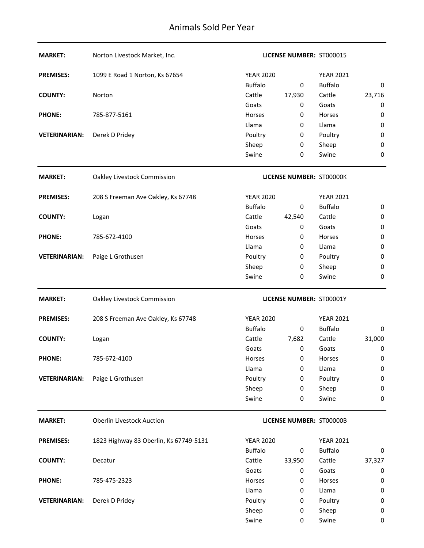| <b>MARKET:</b>       | Norton Livestock Market, Inc.          |                  | LICENSE NUMBER: ST000015 |                  |             |
|----------------------|----------------------------------------|------------------|--------------------------|------------------|-------------|
| <b>PREMISES:</b>     | 1099 E Road 1 Norton, Ks 67654         | <b>YEAR 2020</b> |                          | <b>YEAR 2021</b> |             |
|                      |                                        | <b>Buffalo</b>   | 0                        | <b>Buffalo</b>   | 0           |
| <b>COUNTY:</b>       | Norton                                 | Cattle           | 17,930                   | Cattle           | 23,716      |
|                      |                                        | Goats            | 0                        | Goats            | 0           |
| <b>PHONE:</b>        | 785-877-5161                           | Horses           | 0                        | Horses           | $\pmb{0}$   |
|                      |                                        | Llama            | 0                        | Llama            | $\pmb{0}$   |
| <b>VETERINARIAN:</b> | Derek D Pridey                         | Poultry          | 0                        | Poultry          | $\pmb{0}$   |
|                      |                                        | Sheep            | $\pmb{0}$                | Sheep            | $\pmb{0}$   |
|                      |                                        | Swine            | 0                        | Swine            | 0           |
| <b>MARKET:</b>       | Oakley Livestock Commission            |                  | LICENSE NUMBER: ST00000K |                  |             |
| <b>PREMISES:</b>     | 208 S Freeman Ave Oakley, Ks 67748     | <b>YEAR 2020</b> |                          | <b>YEAR 2021</b> |             |
|                      |                                        | <b>Buffalo</b>   | 0                        | <b>Buffalo</b>   | 0           |
| <b>COUNTY:</b>       | Logan                                  | Cattle           | 42,540                   | Cattle           | $\pmb{0}$   |
|                      |                                        | Goats            | 0                        | Goats            | $\pmb{0}$   |
| <b>PHONE:</b>        | 785-672-4100                           | Horses           | 0                        | Horses           | $\pmb{0}$   |
|                      |                                        | Llama            | 0                        | Llama            | $\pmb{0}$   |
| <b>VETERINARIAN:</b> | Paige L Grothusen                      | Poultry          | 0                        | Poultry          | $\pmb{0}$   |
|                      |                                        | Sheep            | 0                        | Sheep            | 0           |
|                      |                                        | Swine            | 0                        | Swine            | $\mathbf 0$ |
| <b>MARKET:</b>       | Oakley Livestock Commission            |                  | LICENSE NUMBER: ST00001Y |                  |             |
| <b>PREMISES:</b>     | 208 S Freeman Ave Oakley, Ks 67748     | <b>YEAR 2020</b> |                          | <b>YEAR 2021</b> |             |
|                      |                                        | <b>Buffalo</b>   | $\bf{0}$                 | <b>Buffalo</b>   | 0           |
| <b>COUNTY:</b>       | Logan                                  | Cattle           | 7,682                    | Cattle           | 31,000      |
|                      |                                        | Goats            | 0                        | Goats            | 0           |
| <b>PHONE:</b>        | 785-672-4100                           | Horses           | 0                        | Horses           | 0           |
|                      |                                        | Llama            | 0                        | Llama            | $\pmb{0}$   |
| <b>VETERINARIAN:</b> | Paige L Grothusen                      | Poultry          | 0                        | Poultry          | $\pmb{0}$   |
|                      |                                        | Sheep            | 0                        | Sheep            | $\pmb{0}$   |
|                      |                                        | Swine            | 0                        | Swine            | 0           |
| <b>MARKET:</b>       | <b>Oberlin Livestock Auction</b>       |                  | LICENSE NUMBER: ST00000B |                  |             |
| <b>PREMISES:</b>     | 1823 Highway 83 Oberlin, Ks 67749-5131 | <b>YEAR 2020</b> |                          | <b>YEAR 2021</b> |             |
|                      |                                        | <b>Buffalo</b>   | 0                        | <b>Buffalo</b>   | 0           |
| <b>COUNTY:</b>       | Decatur                                | Cattle           | 33,950                   | Cattle           | 37,327      |
|                      |                                        | Goats            | 0                        | Goats            | 0           |
| <b>PHONE:</b>        | 785-475-2323                           | Horses           | 0                        | Horses           | 0           |
|                      |                                        | Llama            | 0                        | Llama            | $\pmb{0}$   |
|                      |                                        |                  |                          |                  |             |
| <b>VETERINARIAN:</b> | Derek D Pridey                         | Poultry          | 0                        | Poultry          | 0           |
|                      |                                        | Sheep<br>Swine   | 0                        | Sheep<br>Swine   | $\pmb{0}$   |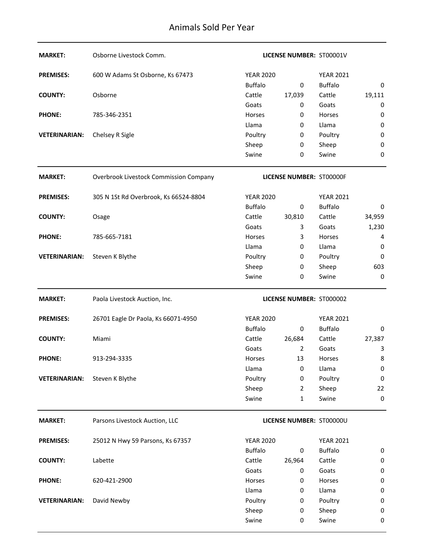| <b>MARKET:</b>       | Osborne Livestock Comm.                |                  | LICENSE NUMBER: ST00001V |                  |                |
|----------------------|----------------------------------------|------------------|--------------------------|------------------|----------------|
| <b>PREMISES:</b>     | 600 W Adams St Osborne, Ks 67473       | <b>YEAR 2020</b> |                          | <b>YEAR 2021</b> |                |
|                      |                                        | <b>Buffalo</b>   | 0                        | <b>Buffalo</b>   | 0              |
| <b>COUNTY:</b>       | Osborne                                | Cattle           | 17,039                   | Cattle           | 19,111         |
|                      |                                        | Goats            | 0                        | Goats            | 0              |
| <b>PHONE:</b>        | 785-346-2351                           | Horses           | 0                        | Horses           | $\pmb{0}$      |
|                      |                                        | Llama            | 0                        | Llama            | $\pmb{0}$      |
| <b>VETERINARIAN:</b> | Chelsey R Sigle                        | Poultry          | 0                        | Poultry          | $\pmb{0}$      |
|                      |                                        | Sheep            | $\pmb{0}$                | Sheep            | $\pmb{0}$      |
|                      |                                        | Swine            | 0                        | Swine            | $\bf{0}$       |
| <b>MARKET:</b>       | Overbrook Livestock Commission Company |                  | LICENSE NUMBER: ST00000F |                  |                |
| <b>PREMISES:</b>     | 305 N 1St Rd Overbrook, Ks 66524-8804  | <b>YEAR 2020</b> |                          | <b>YEAR 2021</b> |                |
|                      |                                        | <b>Buffalo</b>   | 0                        | <b>Buffalo</b>   | 0              |
| <b>COUNTY:</b>       | Osage                                  | Cattle           | 30,810                   | Cattle           | 34,959         |
|                      |                                        | Goats            | 3                        | Goats            | 1,230          |
| <b>PHONE:</b>        | 785-665-7181                           | <b>Horses</b>    | 3                        | Horses           | 4              |
|                      |                                        | Llama            | 0                        | Llama            | 0              |
| <b>VETERINARIAN:</b> | Steven K Blythe                        | Poultry          | 0                        | Poultry          | $\bf{0}$       |
|                      |                                        | Sheep            | 0                        | Sheep            | 603            |
|                      |                                        | Swine            | 0                        | Swine            | $\bf{0}$       |
|                      |                                        |                  |                          |                  |                |
| <b>MARKET:</b>       | Paola Livestock Auction, Inc.          |                  | LICENSE NUMBER: ST000002 |                  |                |
| <b>PREMISES:</b>     | 26701 Eagle Dr Paola, Ks 66071-4950    | <b>YEAR 2020</b> |                          | <b>YEAR 2021</b> |                |
|                      |                                        | <b>Buffalo</b>   | 0                        | <b>Buffalo</b>   | 0              |
| <b>COUNTY:</b>       | Miami                                  | Cattle           | 26,684                   | Cattle           | 27,387         |
|                      |                                        | Goats            | $\overline{2}$           | Goats            | 3              |
| <b>PHONE:</b>        | 913-294-3335                           | Horses           | 13                       | Horses           | 8              |
|                      |                                        | Llama            | 0                        | Llama            | $\pmb{0}$      |
| <b>VETERINARIAN:</b> | Steven K Blythe                        | Poultry          | 0                        | Poultry          | $\pmb{0}$      |
|                      |                                        | Sheep            | $\overline{2}$           | Sheep            | 22             |
|                      |                                        | Swine            | 1                        | Swine            | $\mathbf 0$    |
| <b>MARKET:</b>       | Parsons Livestock Auction, LLC         |                  | LICENSE NUMBER: ST00000U |                  |                |
| <b>PREMISES:</b>     | 25012 N Hwy 59 Parsons, Ks 67357       | <b>YEAR 2020</b> |                          | <b>YEAR 2021</b> |                |
|                      |                                        | <b>Buffalo</b>   | 0                        | <b>Buffalo</b>   | 0              |
| <b>COUNTY:</b>       | Labette                                | Cattle           | 26,964                   | Cattle           | $\pmb{0}$      |
|                      |                                        | Goats            | 0                        | Goats            | $\pmb{0}$      |
| <b>PHONE:</b>        | 620-421-2900                           | Horses           | 0                        | Horses           | $\pmb{0}$      |
|                      |                                        | Llama            | 0                        | Llama            | $\pmb{0}$      |
| <b>VETERINARIAN:</b> | David Newby                            | Poultry          | 0                        | Poultry          | $\pmb{0}$      |
|                      |                                        | Sheep<br>Swine   | 0<br>0                   | Sheep<br>Swine   | $\pmb{0}$<br>0 |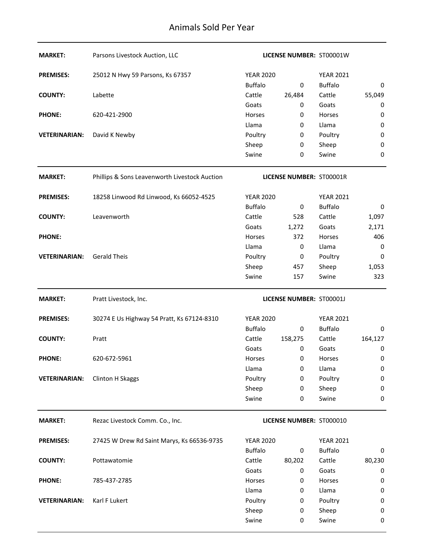| <b>MARKET:</b>       | Parsons Livestock Auction, LLC                |                  | <b>LICENSE NUMBER: ST00001W</b> |                  |             |
|----------------------|-----------------------------------------------|------------------|---------------------------------|------------------|-------------|
| <b>PREMISES:</b>     | 25012 N Hwy 59 Parsons, Ks 67357              | <b>YEAR 2020</b> |                                 | <b>YEAR 2021</b> |             |
|                      |                                               | <b>Buffalo</b>   | 0                               | <b>Buffalo</b>   | 0           |
| <b>COUNTY:</b>       | Labette                                       | Cattle           | 26,484                          | Cattle           | 55,049      |
|                      |                                               | Goats            | 0                               | Goats            | 0           |
| <b>PHONE:</b>        | 620-421-2900                                  | Horses           | 0                               | Horses           | 0           |
|                      |                                               | Llama            | $\bf{0}$                        | Llama            | $\mathbf 0$ |
| <b>VETERINARIAN:</b> | David K Newby                                 | Poultry          | 0                               | Poultry          | $\mathbf 0$ |
|                      |                                               | Sheep            | 0                               | Sheep            | $\mathbf 0$ |
|                      |                                               | Swine            | $\bf{0}$                        | Swine            | 0           |
| <b>MARKET:</b>       | Phillips & Sons Leavenworth Livestock Auction |                  | LICENSE NUMBER: ST00001R        |                  |             |
| <b>PREMISES:</b>     | 18258 Linwood Rd Linwood, Ks 66052-4525       | <b>YEAR 2020</b> |                                 | <b>YEAR 2021</b> |             |
|                      |                                               | <b>Buffalo</b>   | 0                               | <b>Buffalo</b>   | 0           |
| <b>COUNTY:</b>       | Leavenworth                                   | Cattle           | 528                             | Cattle           | 1,097       |
|                      |                                               | Goats            | 1,272                           | Goats            | 2,171       |
| <b>PHONE:</b>        |                                               | Horses           | 372                             | Horses           | 406         |
|                      |                                               | Llama            | $\bf{0}$                        | Llama            | 0           |
| <b>VETERINARIAN:</b> | <b>Gerald Theis</b>                           | Poultry          | $\pmb{0}$                       | Poultry          | $\mathbf 0$ |
|                      |                                               | Sheep            | 457                             | Sheep            | 1,053       |
|                      |                                               | Swine            | 157                             | Swine            | 323         |
| <b>MARKET:</b>       | Pratt Livestock, Inc.                         |                  | LICENSE NUMBER: ST00001J        |                  |             |
| <b>PREMISES:</b>     | 30274 E Us Highway 54 Pratt, Ks 67124-8310    | <b>YEAR 2020</b> |                                 | <b>YEAR 2021</b> |             |
|                      |                                               | <b>Buffalo</b>   | 0                               | <b>Buffalo</b>   | 0           |
| <b>COUNTY:</b>       | Pratt                                         | Cattle           | 158,275                         | Cattle           | 164,127     |
|                      |                                               | Goats            | 0                               | Goats            | 0           |
| <b>PHONE:</b>        | 620-672-5961                                  | Horses           | 0                               | Horses           | 0           |
|                      |                                               | Llama            | 0                               | Llama            | $\mathbf 0$ |
| <b>VETERINARIAN:</b> | Clinton H Skaggs                              | Poultry          |                                 | Poultry          | $\mathbf 0$ |
|                      |                                               |                  | 0                               |                  |             |
|                      |                                               | Sheep            | 0                               | Sheep            | 0           |
|                      |                                               | Swine            | $\bf{0}$                        | Swine            | 0           |
| <b>MARKET:</b>       | Rezac Livestock Comm. Co., Inc.               |                  | LICENSE NUMBER: ST000010        |                  |             |
| <b>PREMISES:</b>     | 27425 W Drew Rd Saint Marys, Ks 66536-9735    | <b>YEAR 2020</b> |                                 | <b>YEAR 2021</b> |             |
|                      |                                               | <b>Buffalo</b>   | 0                               | <b>Buffalo</b>   | 0           |
| <b>COUNTY:</b>       | Pottawatomie                                  | Cattle           | 80,202                          | Cattle           | 80,230      |
|                      |                                               | Goats            | 0                               | Goats            | 0           |
| <b>PHONE:</b>        | 785-437-2785                                  | Horses           | 0                               | Horses           | 0           |
|                      |                                               | Llama            | 0                               | Llama            | 0           |
| <b>VETERINARIAN:</b> | Karl F Lukert                                 | Poultry          | 0                               | Poultry          | 0           |
|                      |                                               | Sheep            | 0                               | Sheep            | 0           |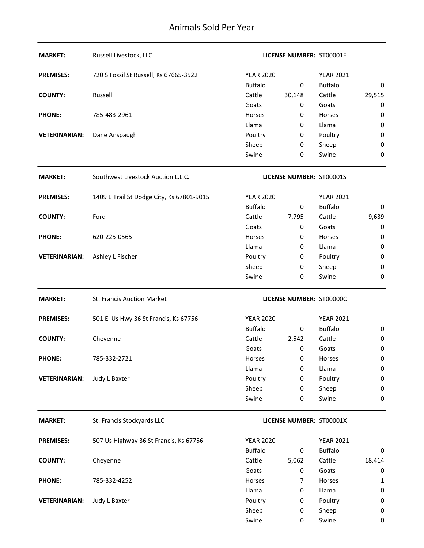| <b>MARKET:</b>       | Russell Livestock, LLC                    |                  | LICENSE NUMBER: ST00001E |                  |             |
|----------------------|-------------------------------------------|------------------|--------------------------|------------------|-------------|
| <b>PREMISES:</b>     | 720 S Fossil St Russell, Ks 67665-3522    | <b>YEAR 2020</b> |                          | <b>YEAR 2021</b> |             |
|                      |                                           | <b>Buffalo</b>   | 0                        | <b>Buffalo</b>   | 0           |
| <b>COUNTY:</b>       | Russell                                   | Cattle           | 30,148                   | Cattle           | 29,515      |
|                      |                                           | Goats            | 0                        | Goats            | 0           |
| <b>PHONE:</b>        | 785-483-2961                              | Horses           | 0                        | Horses           | 0           |
|                      |                                           | Llama            | 0                        | Llama            | $\pmb{0}$   |
| <b>VETERINARIAN:</b> | Dane Anspaugh                             | Poultry          | 0                        | Poultry          | 0           |
|                      |                                           | Sheep            | 0                        | Sheep            | $\pmb{0}$   |
|                      |                                           | Swine            | 0                        | Swine            | $\mathbf 0$ |
| <b>MARKET:</b>       | Southwest Livestock Auction L.L.C.        |                  | LICENSE NUMBER: ST00001S |                  |             |
| <b>PREMISES:</b>     | 1409 E Trail St Dodge City, Ks 67801-9015 | <b>YEAR 2020</b> |                          | <b>YEAR 2021</b> |             |
|                      |                                           | <b>Buffalo</b>   | 0                        | <b>Buffalo</b>   | 0           |
| <b>COUNTY:</b>       | Ford                                      | Cattle           | 7,795                    | Cattle           | 9,639       |
|                      |                                           | Goats            | 0                        | Goats            | 0           |
| <b>PHONE:</b>        | 620-225-0565                              | Horses           | 0                        | Horses           | 0           |
|                      |                                           | Llama            | 0                        | Llama            | $\pmb{0}$   |
| <b>VETERINARIAN:</b> | Ashley L Fischer                          | Poultry          | 0                        | Poultry          | $\pmb{0}$   |
|                      |                                           | Sheep            | 0                        | Sheep            | 0           |
|                      |                                           | Swine            | 0                        | Swine            | $\mathbf 0$ |
|                      |                                           |                  |                          |                  |             |
| <b>MARKET:</b>       | St. Francis Auction Market                |                  | LICENSE NUMBER: ST00000C |                  |             |
| <b>PREMISES:</b>     | 501 E Us Hwy 36 St Francis, Ks 67756      | <b>YEAR 2020</b> |                          | <b>YEAR 2021</b> |             |
|                      |                                           | <b>Buffalo</b>   | 0                        | <b>Buffalo</b>   | 0           |
| <b>COUNTY:</b>       | Cheyenne                                  | Cattle           | 2,542                    | Cattle           | 0           |
|                      |                                           | Goats            | 0                        | Goats            | $\pmb{0}$   |
| <b>PHONE:</b>        | 785-332-2721                              | Horses           | $\bf{0}$                 | Horses           | 0           |
|                      |                                           | Llama            | 0                        | Llama            | $\pmb{0}$   |
| <b>VETERINARIAN:</b> | Judy L Baxter                             | Poultry          | 0                        | Poultry          | 0           |
|                      |                                           | Sheep            | 0                        | Sheep            | 0           |
|                      |                                           | Swine            | 0                        | Swine            | 0           |
| <b>MARKET:</b>       | St. Francis Stockyards LLC                |                  | LICENSE NUMBER: ST00001X |                  |             |
| <b>PREMISES:</b>     | 507 Us Highway 36 St Francis, Ks 67756    | <b>YEAR 2020</b> |                          | <b>YEAR 2021</b> |             |
|                      |                                           | <b>Buffalo</b>   | 0                        | <b>Buffalo</b>   | 0           |
| <b>COUNTY:</b>       | Cheyenne                                  | Cattle           | 5,062                    | Cattle           | 18,414      |
|                      |                                           | Goats            | 0                        | Goats            | 0           |
| <b>PHONE:</b>        | 785-332-4252                              | Horses           | 7                        | Horses           | 1           |
|                      |                                           | Llama            | 0                        | Llama            | 0           |
| <b>VETERINARIAN:</b> | Judy L Baxter                             | Poultry          | 0                        | Poultry          | 0           |
|                      |                                           | Sheep            | 0                        | Sheep            | 0           |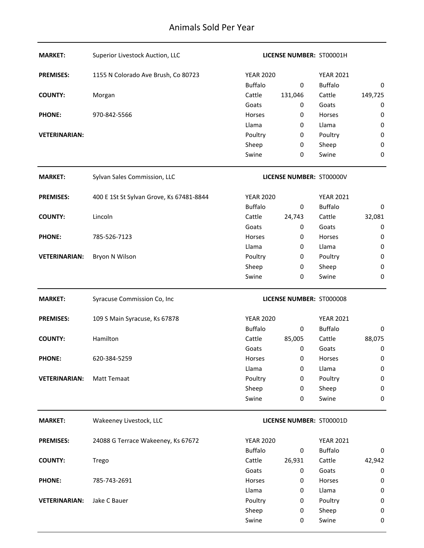| <b>MARKET:</b>       | Superior Livestock Auction, LLC          |                  | LICENSE NUMBER: ST00001H        |                  |           |
|----------------------|------------------------------------------|------------------|---------------------------------|------------------|-----------|
| <b>PREMISES:</b>     | 1155 N Colorado Ave Brush, Co 80723      | <b>YEAR 2020</b> |                                 | <b>YEAR 2021</b> |           |
|                      |                                          | <b>Buffalo</b>   | $\bf{0}$                        | <b>Buffalo</b>   | 0         |
| <b>COUNTY:</b>       | Morgan                                   | Cattle           | 131,046                         | Cattle           | 149,725   |
|                      |                                          | Goats            | 0                               | Goats            | 0         |
| <b>PHONE:</b>        | 970-842-5566                             | Horses           | 0                               | Horses           | 0         |
|                      |                                          | Llama            | 0                               | Llama            | $\bf{0}$  |
| <b>VETERINARIAN:</b> |                                          | Poultry          | 0                               | Poultry          | $\pmb{0}$ |
|                      |                                          | Sheep            | 0                               | Sheep            | $\pmb{0}$ |
|                      |                                          | Swine            | $\bf{0}$                        | Swine            | $\bf{0}$  |
| <b>MARKET:</b>       | Sylvan Sales Commission, LLC             |                  | LICENSE NUMBER: ST00000V        |                  |           |
| <b>PREMISES:</b>     | 400 E 1St St Sylvan Grove, Ks 67481-8844 | <b>YEAR 2020</b> |                                 | <b>YEAR 2021</b> |           |
|                      |                                          | <b>Buffalo</b>   | 0                               | <b>Buffalo</b>   | 0         |
| <b>COUNTY:</b>       | Lincoln                                  | Cattle           | 24,743                          | Cattle           | 32,081    |
|                      |                                          | Goats            | 0                               | Goats            | 0         |
| <b>PHONE:</b>        | 785-526-7123                             | Horses           | 0                               | Horses           | 0         |
|                      |                                          | Llama            | 0                               | Llama            | 0         |
| <b>VETERINARIAN:</b> | Bryon N Wilson                           | Poultry          | 0                               | Poultry          | $\pmb{0}$ |
|                      |                                          | Sheep            | 0                               | Sheep            | $\pmb{0}$ |
|                      |                                          | Swine            | 0                               | Swine            | 0         |
| <b>MARKET:</b>       | Syracuse Commission Co, Inc              |                  | LICENSE NUMBER: ST000008        |                  |           |
| <b>PREMISES:</b>     | 109 S Main Syracuse, Ks 67878            | <b>YEAR 2020</b> |                                 | <b>YEAR 2021</b> |           |
|                      |                                          | <b>Buffalo</b>   | $\bf{0}$                        | <b>Buffalo</b>   | 0         |
|                      |                                          |                  |                                 |                  |           |
| <b>COUNTY:</b>       | Hamilton                                 | Cattle           | 85,005                          | Cattle           | 88,075    |
|                      |                                          | Goats            | 0                               | Goats            | 0         |
| <b>PHONE:</b>        | 620-384-5259                             | Horses           | 0                               | <b>Horses</b>    | 0         |
|                      |                                          | Llama            | 0                               | Llama            | $\pmb{0}$ |
| <b>VETERINARIAN:</b> | Matt Temaat                              | Poultry          | 0                               | Poultry          | $\pmb{0}$ |
|                      |                                          | Sheep            | 0                               | Sheep            | $\pmb{0}$ |
|                      |                                          | Swine            | 0                               | Swine            | $\bf{0}$  |
| <b>MARKET:</b>       | Wakeeney Livestock, LLC                  |                  | <b>LICENSE NUMBER: ST00001D</b> |                  |           |
| <b>PREMISES:</b>     | 24088 G Terrace Wakeeney, Ks 67672       | <b>YEAR 2020</b> |                                 | <b>YEAR 2021</b> |           |
|                      |                                          | <b>Buffalo</b>   | $\bf{0}$                        | <b>Buffalo</b>   | 0         |
| <b>COUNTY:</b>       | Trego                                    | Cattle           | 26,931                          | Cattle           | 42,942    |
|                      |                                          | Goats            | $\pmb{0}$                       | Goats            | $\pmb{0}$ |
| <b>PHONE:</b>        | 785-743-2691                             | Horses           | 0                               | Horses           | 0         |
|                      |                                          | Llama            | 0                               | Llama            | $\pmb{0}$ |
| <b>VETERINARIAN:</b> | Jake C Bauer                             | Poultry          | 0                               | Poultry          | 0         |
|                      |                                          | Sheep            | 0                               | Sheep            | $\pmb{0}$ |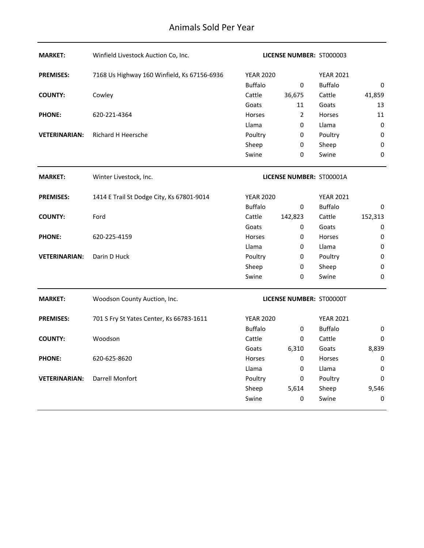| <b>MARKET:</b>       | Winfield Livestock Auction Co, Inc.         |                  | LICENSE NUMBER: ST000003        |                  |                  |
|----------------------|---------------------------------------------|------------------|---------------------------------|------------------|------------------|
| <b>PREMISES:</b>     | 7168 Us Highway 160 Winfield, Ks 67156-6936 | <b>YEAR 2020</b> |                                 | <b>YEAR 2021</b> |                  |
|                      |                                             | <b>Buffalo</b>   | $\pmb{0}$                       | <b>Buffalo</b>   | 0                |
| <b>COUNTY:</b>       | Cowley                                      | Cattle           | 36,675                          | Cattle           | 41,859           |
|                      |                                             | Goats            | 11                              | Goats            | 13               |
| <b>PHONE:</b>        | 620-221-4364                                | Horses           | $\overline{2}$                  | Horses           | 11               |
|                      |                                             | Llama            | 0                               | Llama            | 0                |
| <b>VETERINARIAN:</b> | Richard H Heersche                          | Poultry          | 0                               | Poultry          | 0                |
|                      |                                             | Sheep            | 0                               | Sheep            | 0                |
|                      |                                             | Swine            | 0                               | Swine            | 0                |
| <b>MARKET:</b>       | Winter Livestock, Inc.                      |                  | LICENSE NUMBER: ST00001A        |                  |                  |
| <b>PREMISES:</b>     | 1414 E Trail St Dodge City, Ks 67801-9014   | <b>YEAR 2020</b> |                                 | <b>YEAR 2021</b> |                  |
|                      |                                             | <b>Buffalo</b>   | 0                               | <b>Buffalo</b>   | 0                |
| <b>COUNTY:</b>       | Ford                                        | Cattle           | 142,823                         | Cattle           | 152,313          |
|                      |                                             | Goats            | 0                               | Goats            | 0                |
| <b>PHONE:</b>        | 620-225-4159                                | Horses           | 0                               | Horses           | $\boldsymbol{0}$ |
|                      |                                             | Llama            | 0                               | Llama            | $\boldsymbol{0}$ |
| <b>VETERINARIAN:</b> | Darin D Huck                                | Poultry          | 0                               | Poultry          | $\boldsymbol{0}$ |
|                      |                                             | Sheep            | 0                               | Sheep            | 0                |
|                      |                                             | Swine            | 0                               | Swine            | $\mathbf 0$      |
| <b>MARKET:</b>       | Woodson County Auction, Inc.                |                  | <b>LICENSE NUMBER: ST00000T</b> |                  |                  |
| <b>PREMISES:</b>     | 701 S Fry St Yates Center, Ks 66783-1611    | <b>YEAR 2020</b> |                                 | <b>YEAR 2021</b> |                  |
|                      |                                             | <b>Buffalo</b>   | 0                               | <b>Buffalo</b>   | 0                |
| <b>COUNTY:</b>       | Woodson                                     | Cattle           | 0                               | Cattle           | 0                |
|                      |                                             | Goats            | 6,310                           | Goats            | 8,839            |
| <b>PHONE:</b>        | 620-625-8620                                | Horses           | 0                               | Horses           | 0                |
|                      |                                             | Llama            | 0                               | Llama            | 0                |
| <b>VETERINARIAN:</b> | Darrell Monfort                             | Poultry          | 0                               | Poultry          | 0                |
|                      |                                             | Sheep            | 5,614                           | Sheep            | 9,546            |
|                      |                                             | Swine            | 0                               | Swine            | 0                |